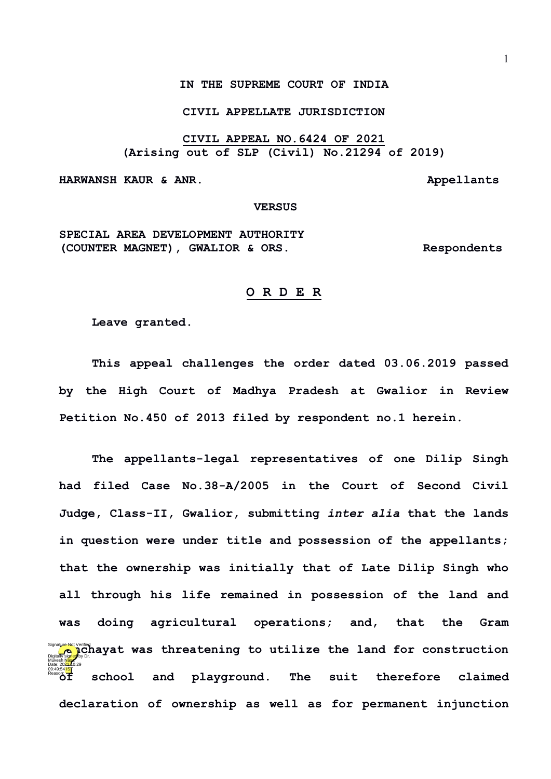## **CIVIL APPELLATE JURISDICTION**

**CIVIL APPEAL NO.6424 OF 2021 (Arising out of SLP (Civil) No.21294 of 2019)**

**HARWANSH KAUR & ANR.** Appellants

## **VERSUS**

**SPECIAL AREA DEVELOPMENT AUTHORITY (COUNTER MAGNET), GWALIOR & ORS. Respondents**

## **O R D E R**

**Leave granted.**

**This appeal challenges the order dated 03.06.2019 passed by the High Court of Madhya Pradesh at Gwalior in Review Petition No.450 of 2013 filed by respondent no.1 herein.**

**The appellants-legal representatives of one Dilip Singh had filed Case No.38-A/2005 in the Court of Second Civil Judge, Class-II, Gwalior, submitting** *inter alia* **that the lands in question were under title and possession of the appellants; that the ownership was initially that of Late Dilip Singh who all through his life remained in possession of the land and was doing agricultural operations; and, that the Gram Expance on Verific Lag at a** was threatening to utilize the land for construction **of school and playground. The suit therefore claimed declaration of ownership as well as for permanent injunction**  Mukesh Masa Date: 2024.10.29 09:49:54<sup>TST</sup> Reason: Signature Not Verified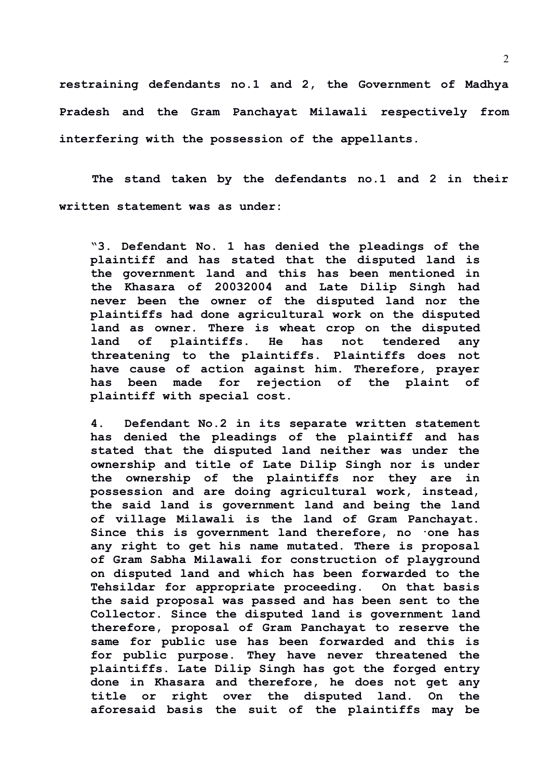**restraining defendants no.1 and 2, the Government of Madhya Pradesh and the Gram Panchayat Milawali respectively from interfering with the possession of the appellants.**

**The stand taken by the defendants no.1 and 2 in their written statement was as under:**

**"3. Defendant No. 1 has denied the pleadings of the plaintiff and has stated that the disputed land is the government land and this has been mentioned in the Khasara of 20032004 and Late Dilip Singh had never been the owner of the disputed land nor the plaintiffs had done agricultural work on the disputed land as owner. There is wheat crop on the disputed land of plaintiffs. He has not tendered any threatening to the plaintiffs. Plaintiffs does not have cause of action against him. Therefore, prayer has been made for rejection of the plaint of plaintiff with special cost.**

**4. Defendant No.2 in its separate written statement has denied the pleadings of the plaintiff and has stated that the disputed land neither was under the ownership and title of Late Dilip Singh nor is under the ownership of the plaintiffs nor they are in possession and are doing agricultural work, instead, the said land is government land and being the land of village Milawali is the land of Gram Panchayat. Since this is government land therefore, no ·one has any right to get his name mutated. There is proposal of Gram Sabha Milawali for construction of playground on disputed land and which has been forwarded to the Tehsildar for appropriate proceeding. On that basis the said proposal was passed and has been sent to the Collector. Since the disputed land is government land therefore, proposal of Gram Panchayat to reserve the same for public use has been forwarded and this is for public purpose. They have never threatened the plaintiffs. Late Dilip Singh has got the forged entry done in Khasara and therefore, he does not get any title or right over the disputed land. On the aforesaid basis the suit of the plaintiffs may be**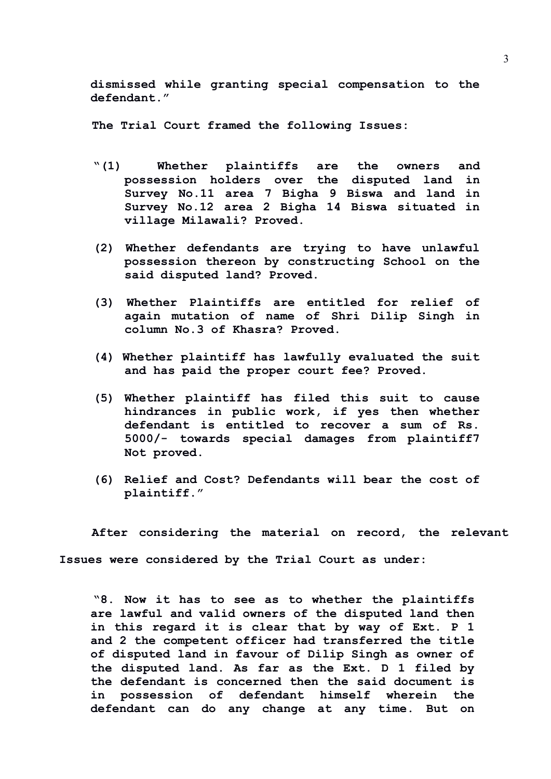**dismissed while granting special compensation to the defendant."**

**The Trial Court framed the following Issues:**

- **"(1) Whether plaintiffs are the owners and possession holders over the disputed land in Survey No.11 area 7 Bigha 9 Biswa and land in Survey No.12 area 2 Bigha 14 Biswa situated in village Milawali? Proved.**
- **(2) Whether defendants are trying to have unlawful possession thereon by constructing School on the said disputed land? Proved.**
- **(3) Whether Plaintiffs are entitled for relief of again mutation of name of Shri Dilip Singh in column No.3 of Khasra? Proved.**
- **(4) Whether plaintiff has lawfully evaluated the suit and has paid the proper court fee? Proved.**
- **(5) Whether plaintiff has filed this suit to cause hindrances in public work, if yes then whether defendant is entitled to recover a sum of Rs. 5000/- towards special damages from plaintiff7 Not proved.**
- **(6) Relief and Cost? Defendants will bear the cost of plaintiff."**

**After considering the material on record, the relevant Issues were considered by the Trial Court as under:**

**"8. Now it has to see as to whether the plaintiffs are lawful and valid owners of the disputed land then in this regard it is clear that by way of Ext. P 1 and 2 the competent officer had transferred the title of disputed land in favour of Dilip Singh as owner of the disputed land. As far as the Ext. D 1 filed by the defendant is concerned then the said document is in possession of defendant himself wherein the defendant can do any change at any time. But on**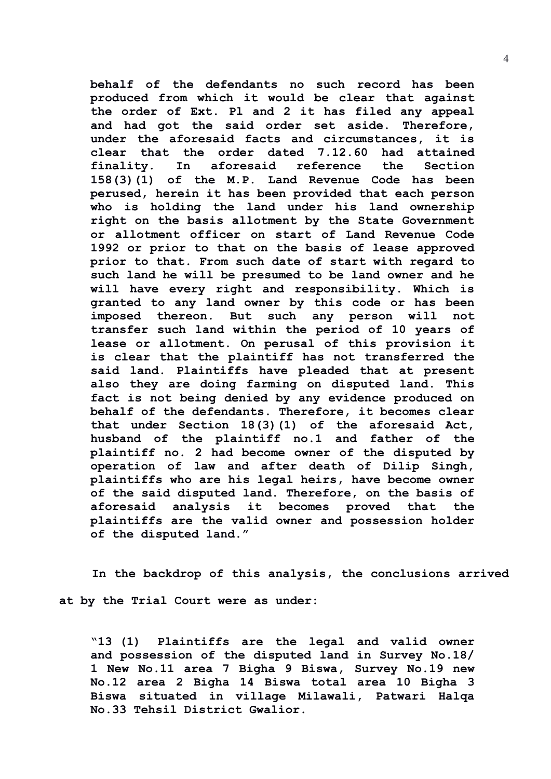**behalf of the defendants no such record has been produced from which it would be clear that against the order of Ext. Pl and 2 it has filed any appeal and had got the said order set aside. Therefore, under the aforesaid facts and circumstances, it is clear that the order dated 7.12.60 had attained finality. In aforesaid reference the Section 158(3)(1) of the M.P. Land Revenue Code has been perused, herein it has been provided that each person who is holding the land under his land ownership right on the basis allotment by the State Government or allotment officer on start of Land Revenue Code 1992 or prior to that on the basis of lease approved prior to that. From such date of start with regard to such land he will be presumed to be land owner and he will have every right and responsibility. Which is granted to any land owner by this code or has been imposed thereon. But such any person will not transfer such land within the period of 10 years of lease or allotment. On perusal of this provision it is clear that the plaintiff has not transferred the said land. Plaintiffs have pleaded that at present also they are doing farming on disputed land. This fact is not being denied by any evidence produced on behalf of the defendants. Therefore, it becomes clear that under Section 18(3)(1) of the aforesaid Act, husband of the plaintiff no.1 and father of the plaintiff no. 2 had become owner of the disputed by operation of law and after death of Dilip Singh, plaintiffs who are his legal heirs, have become owner of the said disputed land. Therefore, on the basis of aforesaid analysis it becomes proved that the plaintiffs are the valid owner and possession holder of the disputed land."**

**In the backdrop of this analysis, the conclusions arrived at by the Trial Court were as under:**

**"13 (1) Plaintiffs are the legal and valid owner and possession of the disputed land in Survey No.18/ 1 New No.11 area 7 Bigha 9 Biswa, Survey No.19 new No.12 area 2 Bigha 14 Biswa total area 10 Bigha 3 Biswa situated in village Milawali, Patwari Halqa No.33 Tehsil District Gwalior.**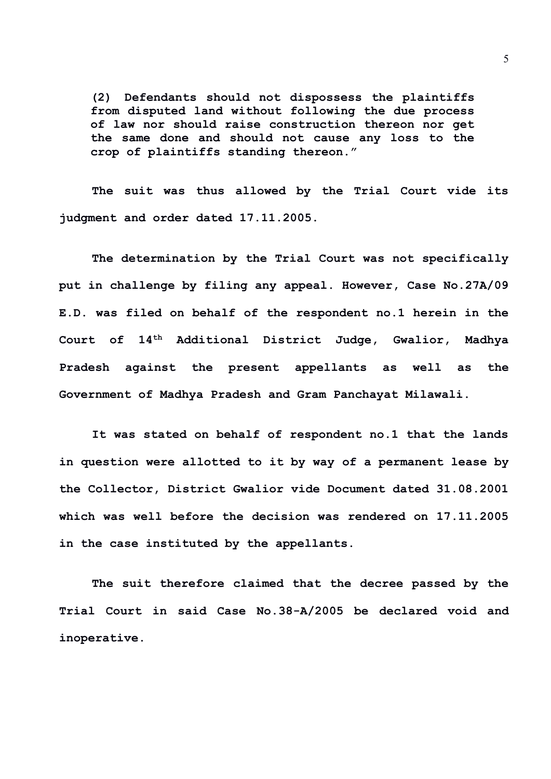**(2) Defendants should not dispossess the plaintiffs from disputed land without following the due process of law nor should raise construction thereon nor get the same done and should not cause any loss to the crop of plaintiffs standing thereon."**

**The suit was thus allowed by the Trial Court vide its judgment and order dated 17.11.2005.**

**The determination by the Trial Court was not specifically put in challenge by filing any appeal. However, Case No.27A/09 E.D. was filed on behalf of the respondent no.1 herein in the Court of 14th Additional District Judge, Gwalior, Madhya Pradesh against the present appellants as well as the Government of Madhya Pradesh and Gram Panchayat Milawali.**

**It was stated on behalf of respondent no.1 that the lands in question were allotted to it by way of a permanent lease by the Collector, District Gwalior vide Document dated 31.08.2001 which was well before the decision was rendered on 17.11.2005 in the case instituted by the appellants.**

**The suit therefore claimed that the decree passed by the Trial Court in said Case No.38-A/2005 be declared void and inoperative.** 

5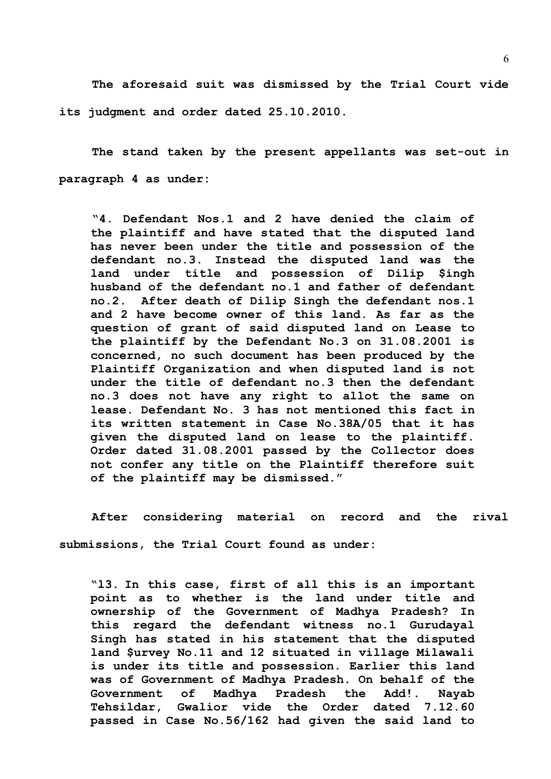**The aforesaid suit was dismissed by the Trial Court vide its judgment and order dated 25.10.2010.**

**The stand taken by the present appellants was set-out in paragraph 4 as under:**

**"4. Defendant Nos.1 and 2 have denied the claim of the plaintiff and have stated that the disputed land has never been under the title and possession of the defendant no.3. Instead the disputed land was the land under title and possession of Dilip \$ingh husband of the defendant no.1 and father of defendant no.2. After death of Dilip Singh the defendant nos.1 and 2 have become owner of this land. As far as the question of grant of said disputed land on Lease to the plaintiff by the Defendant No.3 on 31.08.2001 is concerned, no such document has been produced by the Plaintiff Organization and when disputed land is not under the title of defendant no.3 then the defendant no.3 does not have any right to allot the same on lease. Defendant No. 3 has not mentioned this fact in its written statement in Case No.38A/05 that it has given the disputed land on lease to the plaintiff. Order dated 31.08.2001 passed by the Collector does not confer any title on the Plaintiff therefore suit of the plaintiff may be dismissed."**

**After considering material on record and the rival submissions, the Trial Court found as under:**

**"l3. In this case, first of all this is an important point as to whether is the land under title and ownership of the Government of Madhya Pradesh? In this regard the defendant witness no.1 Gurudayal Singh has stated in his statement that the disputed land \$urvey No.11 and 12 situated in village Milawali is under its title and possession. Earlier this land was of Government of Madhya Pradesh. On behalf of the Government of Madhya Pradesh the Add!. Nayab Tehsildar, Gwalior vide the Order dated 7.12.60 passed in Case No.56/162 had given the said land to**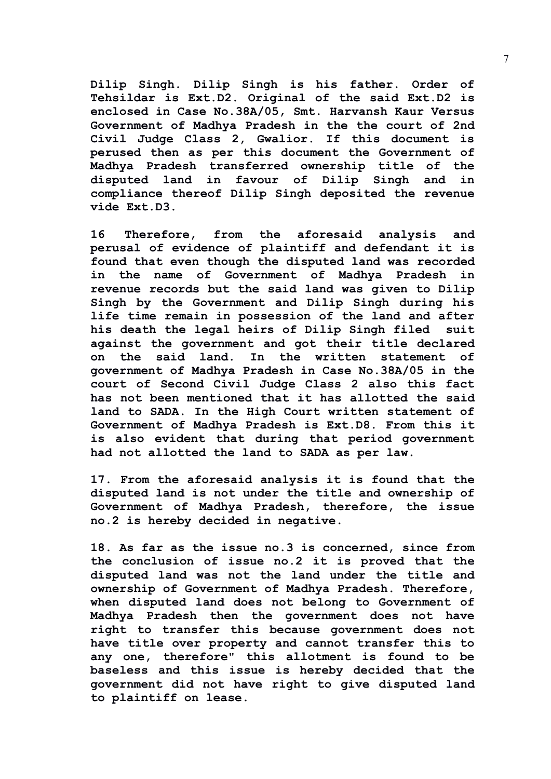**Dilip Singh. Dilip Singh is his father. Order of Tehsildar is Ext.D2. Original of the said Ext.D2 is enclosed in Case No.38A/05, Smt. Harvansh Kaur Versus Government of Madhya Pradesh in the the court of 2nd Civil Judge Class 2, Gwalior. If this document is perused then as per this document the Government of Madhya Pradesh transferred ownership title of the disputed land in favour of Dilip Singh and in compliance thereof Dilip Singh deposited the revenue vide Ext.D3.**

**16 Therefore, from the aforesaid analysis and perusal of evidence of plaintiff and defendant it is found that even though the disputed land was recorded in the name of Government of Madhya Pradesh in revenue records but the said land was given to Dilip Singh by the Government and Dilip Singh during his life time remain in possession of the land and after his death the legal heirs of Dilip Singh filed suit against the government and got their title declared on the said land. In the written statement of government of Madhya Pradesh in Case No.38A/05 in the court of Second Civil Judge Class 2 also this fact has not been mentioned that it has allotted the said land to SADA. In the High Court written statement of Government of Madhya Pradesh is Ext.D8. From this it is also evident that during that period government had not allotted the land to SADA as per law.**

**17. From the aforesaid analysis it is found that the disputed land is not under the title and ownership of Government of Madhya Pradesh, therefore, the issue no.2 is hereby decided in negative.**

**18. As far as the issue no.3 is concerned, since from the conclusion of issue no.2 it is proved that the disputed land was not the land under the title and ownership of Government of Madhya Pradesh. Therefore, when disputed land does not belong to Government of Madhya Pradesh then the government does not have right to transfer this because government does not have title over property and cannot transfer this to any one, therefore" this allotment is found to be baseless and this issue is hereby decided that the government did not have right to give disputed land to plaintiff on lease.**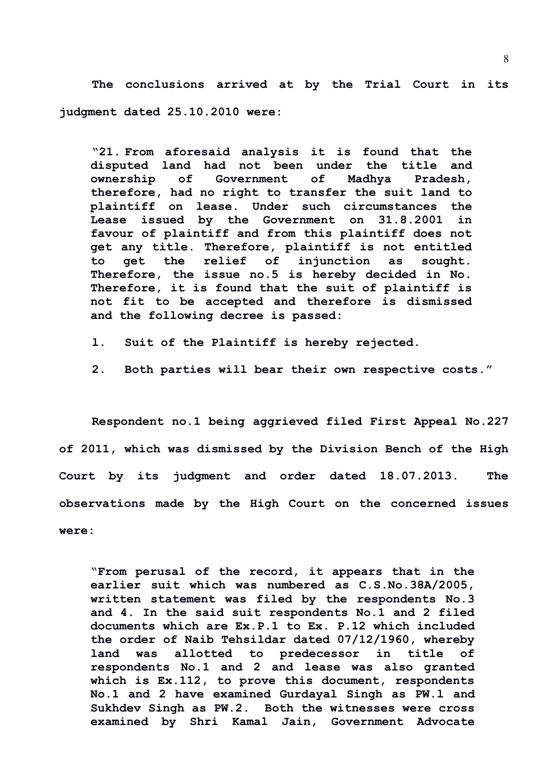**The conclusions arrived at by the Trial Court in its judgment dated 25.10.2010 were:**

**"21. From aforesaid analysis it is found that the disputed land had not been under the title and ownership of Government of Madhya Pradesh, therefore, had no right to transfer the suit land to plaintiff on lease. Under such circumstances the Lease issued by the Government on 31.8.2001 in favour of plaintiff and from this plaintiff does not get any title. Therefore, plaintiff is not entitled to get the relief of injunction as sought. Therefore, the issue no.5 is hereby decided in No. Therefore, it is found that the suit of plaintiff is not fit to be accepted and therefore is dismissed and the following decree is passed:**

- **l. Suit of the Plaintiff is hereby rejected.**
- **2. Both parties will bear their own respective costs."**

**Respondent no.1 being aggrieved filed First Appeal No.227 of 2011, which was dismissed by the Division Bench of the High Court by its judgment and order dated 18.07.2013. The observations made by the High Court on the concerned issues were:**

**"From perusal of the record, it appears that in the earlier suit which was numbered as C.S.No.38A/2005, written statement was filed by the respondents No.3 and 4. In the said suit respondents No.1 and 2 filed documents which are Ex.P.1 to Ex. P.12 which included the order of Naib Tehsildar dated 07/12/1960, whereby land was allotted to predecessor in title of respondents No.1 and 2 and lease was also granted which is Ex.112, to prove this document, respondents No.1 and 2 have examined Gurdayal Singh as PW.l and Sukhdev Singh as PW.2. Both the witnesses were cross examined by Shri Kamal Jain, Government Advocate**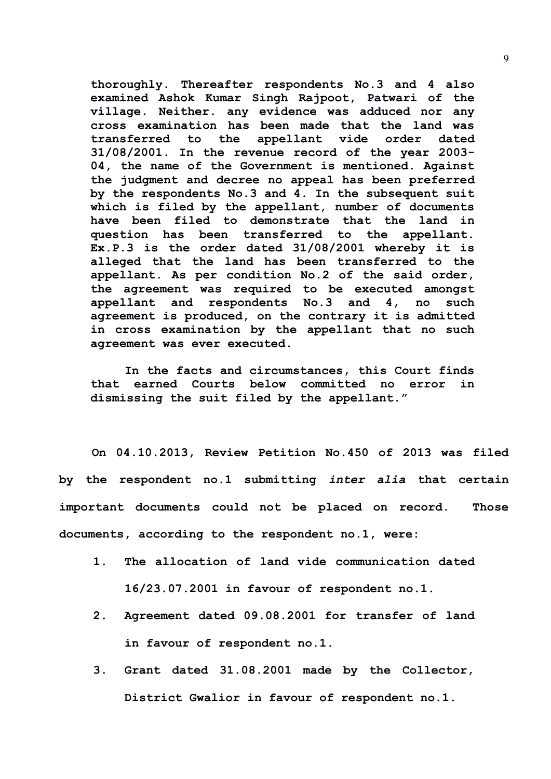**thoroughly. Thereafter respondents No.3 and 4 also examined Ashok Kumar Singh Rajpoot, Patwari of the village. Neither. any evidence was adduced nor any cross examination has been made that the land was transferred to the appellant vide order dated 31/08/2001. In the revenue record of the year 2003- 04, the name of the Government is mentioned. Against the judgment and decree no appeal has been preferred by the respondents No.3 and 4. In the subsequent suit which is filed by the appellant, number of documents have been filed to demonstrate that the land in question has been transferred to the appellant. Ex.P.3 is the order dated 31/08/2001 whereby it is alleged that the land has been transferred to the appellant. As per condition No.2 of the said order, the agreement was required to be executed amongst appellant and respondents No.3 and 4, no such agreement is produced, on the contrary it is admitted in cross examination by the appellant that no such agreement was ever executed.**

**In the facts and circumstances, this Court finds that earned Courts below committed no error in dismissing the suit filed by the appellant."**

**On 04.10.2013, Review Petition No.450 of 2013 was filed by the respondent no.1 submitting** *inter alia* **that certain important documents could not be placed on record. Those documents, according to the respondent no.1, were:**

- **1. The allocation of land vide communication dated 16/23.07.2001 in favour of respondent no.1.**
- **2. Agreement dated 09.08.2001 for transfer of land in favour of respondent no.1.**
- **3. Grant dated 31.08.2001 made by the Collector, District Gwalior in favour of respondent no.1.**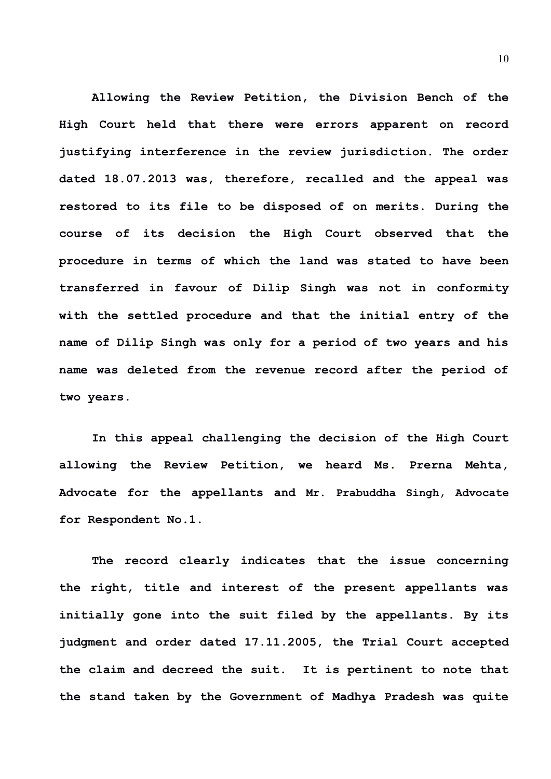**Allowing the Review Petition, the Division Bench of the High Court held that there were errors apparent on record justifying interference in the review jurisdiction. The order dated 18.07.2013 was, therefore, recalled and the appeal was restored to its file to be disposed of on merits. During the course of its decision the High Court observed that the procedure in terms of which the land was stated to have been transferred in favour of Dilip Singh was not in conformity with the settled procedure and that the initial entry of the name of Dilip Singh was only for a period of two years and his name was deleted from the revenue record after the period of two years.**

**In this appeal challenging the decision of the High Court allowing the Review Petition, we heard Ms. Prerna Mehta, Advocate for the appellants and Mr. Prabuddha Singh, Advocate for Respondent No.1.**

**The record clearly indicates that the issue concerning the right, title and interest of the present appellants was initially gone into the suit filed by the appellants. By its judgment and order dated 17.11.2005, the Trial Court accepted the claim and decreed the suit. It is pertinent to note that the stand taken by the Government of Madhya Pradesh was quite**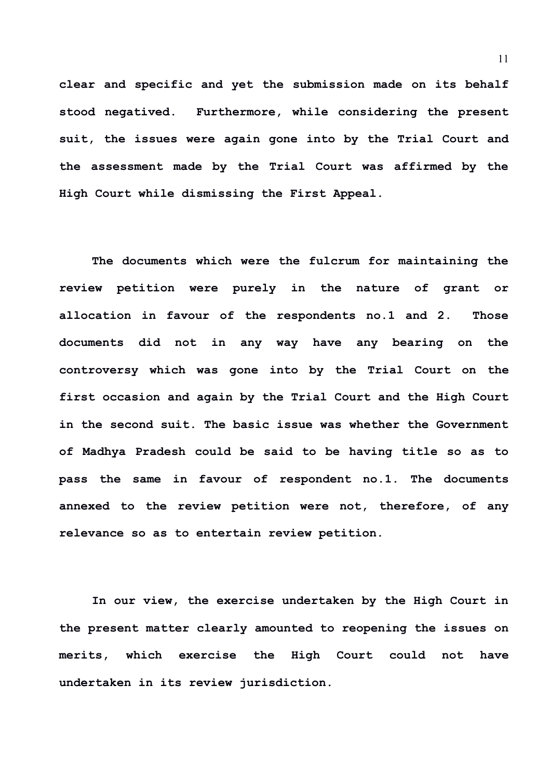**clear and specific and yet the submission made on its behalf stood negatived. Furthermore, while considering the present suit, the issues were again gone into by the Trial Court and the assessment made by the Trial Court was affirmed by the High Court while dismissing the First Appeal.**

**The documents which were the fulcrum for maintaining the review petition were purely in the nature of grant or allocation in favour of the respondents no.1 and 2. Those documents did not in any way have any bearing on the controversy which was gone into by the Trial Court on the first occasion and again by the Trial Court and the High Court in the second suit. The basic issue was whether the Government of Madhya Pradesh could be said to be having title so as to pass the same in favour of respondent no.1. The documents annexed to the review petition were not, therefore, of any relevance so as to entertain review petition.**

**In our view, the exercise undertaken by the High Court in the present matter clearly amounted to reopening the issues on merits, which exercise the High Court could not have undertaken in its review jurisdiction.**